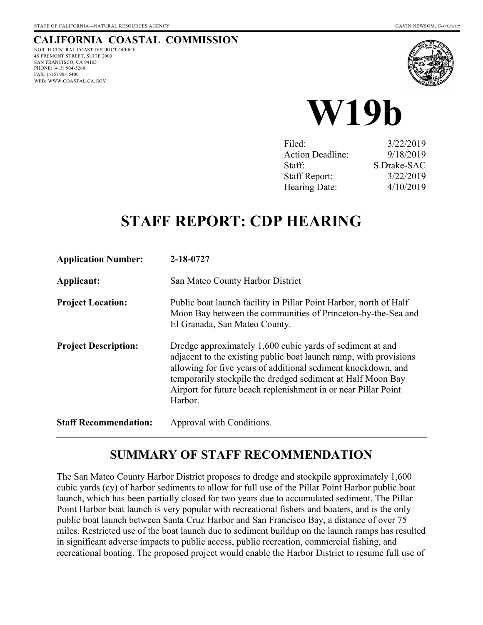#### **CALIFORNIA COASTAL COMMISSION** NORTH CENTRAL COAST DISTRICT OFFICE 45 FREMONT STREET, SUITE 2000

SAN FRANCISCO, CA 94105 PHONE: (415) 904-5260 FAX: (415) 904-5400 WEB: WWW.COASTAL.CA.GOV





| Filed:                  | 3/22/2019   |
|-------------------------|-------------|
| <b>Action Deadline:</b> | 9/18/2019   |
| Staff:                  | S.Drake-SAC |
| <b>Staff Report:</b>    | 3/22/2019   |
| Hearing Date:           | 4/10/2019   |

# **STAFF REPORT: CDP HEARING**

| <b>Application Number:</b>   | 2-18-0727                                                                                                                                                                                                                                                                                                                                   |
|------------------------------|---------------------------------------------------------------------------------------------------------------------------------------------------------------------------------------------------------------------------------------------------------------------------------------------------------------------------------------------|
| Applicant:                   | San Mateo County Harbor District                                                                                                                                                                                                                                                                                                            |
| <b>Project Location:</b>     | Public boat launch facility in Pillar Point Harbor, north of Half<br>Moon Bay between the communities of Princeton-by-the-Sea and<br>El Granada, San Mateo County.                                                                                                                                                                          |
| <b>Project Description:</b>  | Dredge approximately 1,600 cubic yards of sediment at and<br>adjacent to the existing public boat launch ramp, with provisions<br>allowing for five years of additional sediment knockdown, and<br>temporarily stockpile the dredged sediment at Half Moon Bay<br>Airport for future beach replenishment in or near Pillar Point<br>Harbor. |
| <b>Staff Recommendation:</b> | Approval with Conditions.                                                                                                                                                                                                                                                                                                                   |

### **SUMMARY OF STAFF RECOMMENDATION**

The San Mateo County Harbor District proposes to dredge and stockpile approximately 1,600 cubic yards (cy) of harbor sediments to allow for full use of the Pillar Point Harbor public boat launch, which has been partially closed for two years due to accumulated sediment. The Pillar Point Harbor boat launch is very popular with recreational fishers and boaters, and is the only public boat launch between Santa Cruz Harbor and San Francisco Bay, a distance of over 75 miles. Restricted use of the boat launch due to sediment buildup on the launch ramps has resulted in significant adverse impacts to public access, public recreation, commercial fishing, and recreational boating. The proposed project would enable the Harbor District to resume full use of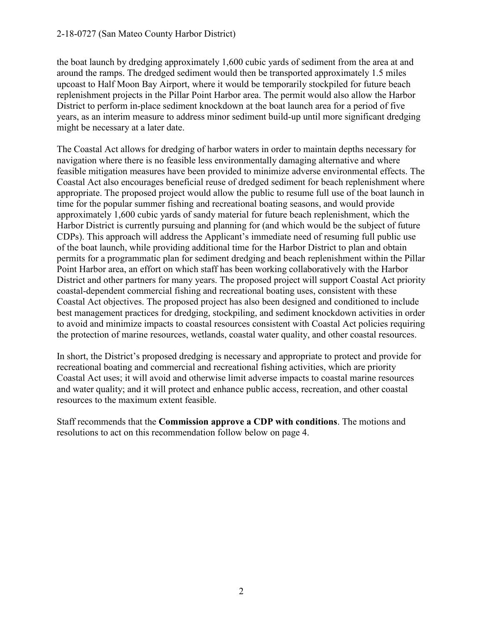the boat launch by dredging approximately 1,600 cubic yards of sediment from the area at and around the ramps. The dredged sediment would then be transported approximately 1.5 miles upcoast to Half Moon Bay Airport, where it would be temporarily stockpiled for future beach replenishment projects in the Pillar Point Harbor area. The permit would also allow the Harbor District to perform in-place sediment knockdown at the boat launch area for a period of five years, as an interim measure to address minor sediment build-up until more significant dredging might be necessary at a later date.

The Coastal Act allows for dredging of harbor waters in order to maintain depths necessary for navigation where there is no feasible less environmentally damaging alternative and where feasible mitigation measures have been provided to minimize adverse environmental effects. The Coastal Act also encourages beneficial reuse of dredged sediment for beach replenishment where appropriate. The proposed project would allow the public to resume full use of the boat launch in time for the popular summer fishing and recreational boating seasons, and would provide approximately 1,600 cubic yards of sandy material for future beach replenishment, which the Harbor District is currently pursuing and planning for (and which would be the subject of future CDPs). This approach will address the Applicant's immediate need of resuming full public use of the boat launch, while providing additional time for the Harbor District to plan and obtain permits for a programmatic plan for sediment dredging and beach replenishment within the Pillar Point Harbor area, an effort on which staff has been working collaboratively with the Harbor District and other partners for many years. The proposed project will support Coastal Act priority coastal-dependent commercial fishing and recreational boating uses, consistent with these Coastal Act objectives. The proposed project has also been designed and conditioned to include best management practices for dredging, stockpiling, and sediment knockdown activities in order to avoid and minimize impacts to coastal resources consistent with Coastal Act policies requiring the protection of marine resources, wetlands, coastal water quality, and other coastal resources.

In short, the District's proposed dredging is necessary and appropriate to protect and provide for recreational boating and commercial and recreational fishing activities, which are priority Coastal Act uses; it will avoid and otherwise limit adverse impacts to coastal marine resources and water quality; and it will protect and enhance public access, recreation, and other coastal resources to the maximum extent feasible.

Staff recommends that the **Commission approve a CDP with conditions**. The motions and resolutions to act on this recommendation follow below on page 4.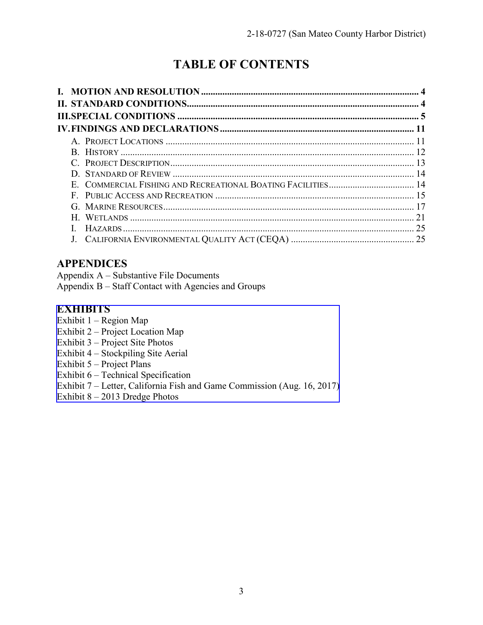## **TABLE OF CONTENTS**

| 21 |
|----|
|    |
|    |

### **APPENDICES**

Appendix A – Substantive File Documents

Appendix B – Staff Contact with Agencies and Groups

### **EXHIBITS**

- Exhibit 1 Region Map
- Exhibit 2 Project Location Map
- Exhibit 3 Project Site Photos
- Exhibit 4 Stockpiling Site Aerial
- Exhibit 5 Project Plans
- Exhibit 6 Technical Specification
- [Exhibit 7 Letter, California Fish and Game Commission \(Aug. 16, 2017\)](https://documents.coastal.ca.gov/reports/2019/4/W19b/W19b-4-2019-exhibits.pdf)
- Exhibit 8 2013 Dredge Photos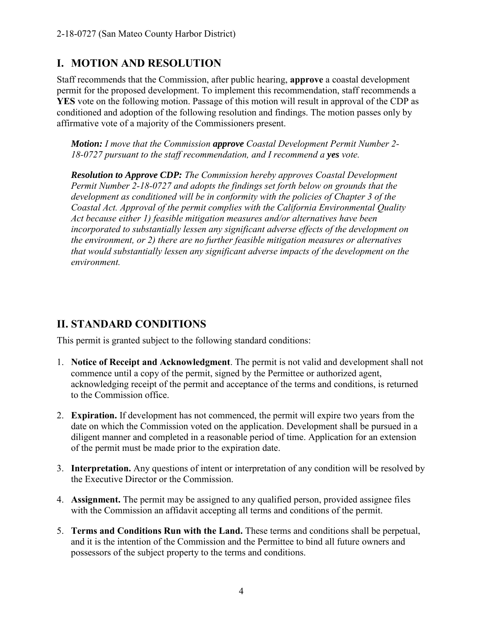### **I. MOTION AND RESOLUTION**

Staff recommends that the Commission, after public hearing, **approve** a coastal development permit for the proposed development. To implement this recommendation, staff recommends a **YES** vote on the following motion. Passage of this motion will result in approval of the CDP as conditioned and adoption of the following resolution and findings. The motion passes only by affirmative vote of a majority of the Commissioners present.

*Motion: I move that the Commission approve Coastal Development Permit Number 2- 18-0727 pursuant to the staff recommendation, and I recommend a yes vote.* 

*Resolution to Approve CDP: The Commission hereby approves Coastal Development Permit Number 2-18-0727 and adopts the findings set forth below on grounds that the development as conditioned will be in conformity with the policies of Chapter 3 of the Coastal Act. Approval of the permit complies with the California Environmental Quality Act because either 1) feasible mitigation measures and/or alternatives have been incorporated to substantially lessen any significant adverse effects of the development on the environment, or 2) there are no further feasible mitigation measures or alternatives that would substantially lessen any significant adverse impacts of the development on the environment.* 

### **II. STANDARD CONDITIONS**

This permit is granted subject to the following standard conditions:

- 1. **Notice of Receipt and Acknowledgment**. The permit is not valid and development shall not commence until a copy of the permit, signed by the Permittee or authorized agent, acknowledging receipt of the permit and acceptance of the terms and conditions, is returned to the Commission office.
- 2. **Expiration.** If development has not commenced, the permit will expire two years from the date on which the Commission voted on the application. Development shall be pursued in a diligent manner and completed in a reasonable period of time. Application for an extension of the permit must be made prior to the expiration date.
- 3. **Interpretation.** Any questions of intent or interpretation of any condition will be resolved by the Executive Director or the Commission.
- 4. **Assignment.** The permit may be assigned to any qualified person, provided assignee files with the Commission an affidavit accepting all terms and conditions of the permit.
- 5. **Terms and Conditions Run with the Land.** These terms and conditions shall be perpetual, and it is the intention of the Commission and the Permittee to bind all future owners and possessors of the subject property to the terms and conditions.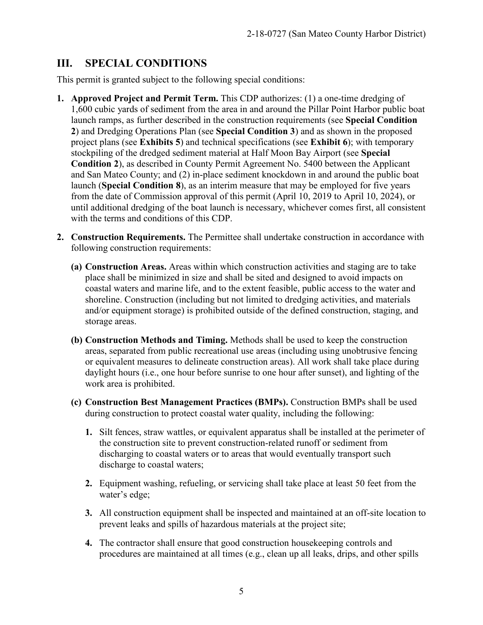### **III. SPECIAL CONDITIONS**

This permit is granted subject to the following special conditions:

- **1. Approved Project and Permit Term.** This CDP authorizes: (1) a one-time dredging of 1,600 cubic yards of sediment from the area in and around the Pillar Point Harbor public boat launch ramps, as further described in the construction requirements (see **Special Condition 2**) and Dredging Operations Plan (see **Special Condition 3**) and as shown in the proposed project plans (see **Exhibits 5**) and technical specifications (see **Exhibit 6**); with temporary stockpiling of the dredged sediment material at Half Moon Bay Airport (see **Special Condition 2**), as described in County Permit Agreement No. 5400 between the Applicant and San Mateo County; and (2) in-place sediment knockdown in and around the public boat launch (**Special Condition 8**), as an interim measure that may be employed for five years from the date of Commission approval of this permit (April 10, 2019 to April 10, 2024), or until additional dredging of the boat launch is necessary, whichever comes first, all consistent with the terms and conditions of this CDP.
- **2. Construction Requirements.** The Permittee shall undertake construction in accordance with following construction requirements:
	- **(a) Construction Areas.** Areas within which construction activities and staging are to take place shall be minimized in size and shall be sited and designed to avoid impacts on coastal waters and marine life, and to the extent feasible, public access to the water and shoreline. Construction (including but not limited to dredging activities, and materials and/or equipment storage) is prohibited outside of the defined construction, staging, and storage areas.
	- **(b) Construction Methods and Timing.** Methods shall be used to keep the construction areas, separated from public recreational use areas (including using unobtrusive fencing or equivalent measures to delineate construction areas). All work shall take place during daylight hours (i.e., one hour before sunrise to one hour after sunset), and lighting of the work area is prohibited.
	- **(c) Construction Best Management Practices (BMPs).** Construction BMPs shall be used during construction to protect coastal water quality, including the following:
		- **1.** Silt fences, straw wattles, or equivalent apparatus shall be installed at the perimeter of the construction site to prevent construction-related runoff or sediment from discharging to coastal waters or to areas that would eventually transport such discharge to coastal waters;
		- **2.** Equipment washing, refueling, or servicing shall take place at least 50 feet from the water's edge;
		- **3.** All construction equipment shall be inspected and maintained at an off-site location to prevent leaks and spills of hazardous materials at the project site;
		- **4.** The contractor shall ensure that good construction housekeeping controls and procedures are maintained at all times (e.g., clean up all leaks, drips, and other spills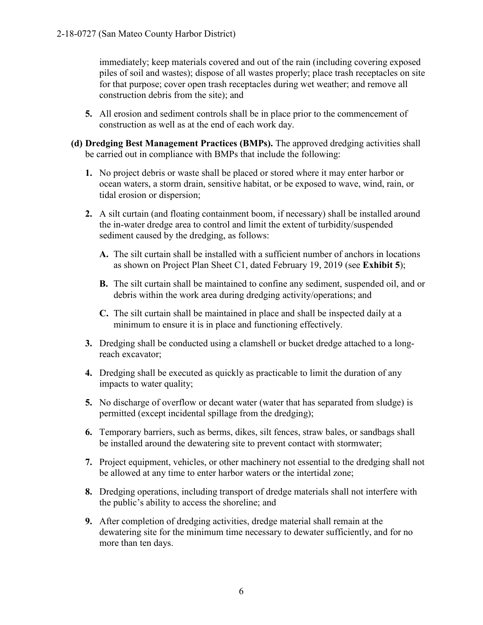immediately; keep materials covered and out of the rain (including covering exposed piles of soil and wastes); dispose of all wastes properly; place trash receptacles on site for that purpose; cover open trash receptacles during wet weather; and remove all construction debris from the site); and

- **5.** All erosion and sediment controls shall be in place prior to the commencement of construction as well as at the end of each work day.
- **(d) Dredging Best Management Practices (BMPs).** The approved dredging activities shall be carried out in compliance with BMPs that include the following:
	- **1.** No project debris or waste shall be placed or stored where it may enter harbor or ocean waters, a storm drain, sensitive habitat, or be exposed to wave, wind, rain, or tidal erosion or dispersion;
	- **2.** A silt curtain (and floating containment boom, if necessary) shall be installed around the in-water dredge area to control and limit the extent of turbidity/suspended sediment caused by the dredging, as follows:
		- **A.** The silt curtain shall be installed with a sufficient number of anchors in locations as shown on Project Plan Sheet C1, dated February 19, 2019 (see **Exhibit 5**);
		- **B.** The silt curtain shall be maintained to confine any sediment, suspended oil, and or debris within the work area during dredging activity/operations; and
		- **C.** The silt curtain shall be maintained in place and shall be inspected daily at a minimum to ensure it is in place and functioning effectively.
	- **3.** Dredging shall be conducted using a clamshell or bucket dredge attached to a longreach excavator;
	- **4.** Dredging shall be executed as quickly as practicable to limit the duration of any impacts to water quality;
	- **5.** No discharge of overflow or decant water (water that has separated from sludge) is permitted (except incidental spillage from the dredging);
	- **6.** Temporary barriers, such as berms, dikes, silt fences, straw bales, or sandbags shall be installed around the dewatering site to prevent contact with stormwater;
	- **7.** Project equipment, vehicles, or other machinery not essential to the dredging shall not be allowed at any time to enter harbor waters or the intertidal zone;
	- **8.** Dredging operations, including transport of dredge materials shall not interfere with the public's ability to access the shoreline; and
	- **9.** After completion of dredging activities, dredge material shall remain at the dewatering site for the minimum time necessary to dewater sufficiently, and for no more than ten days.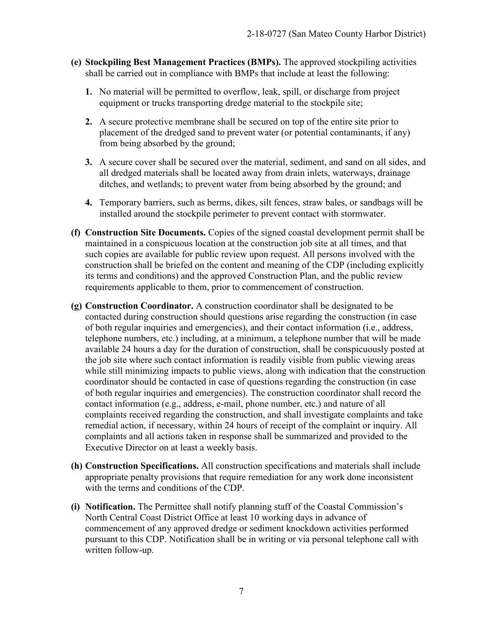- **(e) Stockpiling Best Management Practices (BMPs).** The approved stockpiling activities shall be carried out in compliance with BMPs that include at least the following:
	- **1.** No material will be permitted to overflow, leak, spill, or discharge from project equipment or trucks transporting dredge material to the stockpile site;
	- **2.** A secure protective membrane shall be secured on top of the entire site prior to placement of the dredged sand to prevent water (or potential contaminants, if any) from being absorbed by the ground;
	- **3.** A secure cover shall be secured over the material, sediment, and sand on all sides, and all dredged materials shall be located away from drain inlets, waterways, drainage ditches, and wetlands; to prevent water from being absorbed by the ground; and
	- **4.** Temporary barriers, such as berms, dikes, silt fences, straw bales, or sandbags will be installed around the stockpile perimeter to prevent contact with stormwater.
- **(f) Construction Site Documents.** Copies of the signed coastal development permit shall be maintained in a conspicuous location at the construction job site at all times, and that such copies are available for public review upon request. All persons involved with the construction shall be briefed on the content and meaning of the CDP (including explicitly its terms and conditions) and the approved Construction Plan, and the public review requirements applicable to them, prior to commencement of construction.
- **(g) Construction Coordinator.** A construction coordinator shall be designated to be contacted during construction should questions arise regarding the construction (in case of both regular inquiries and emergencies), and their contact information (i.e., address, telephone numbers, etc.) including, at a minimum, a telephone number that will be made available 24 hours a day for the duration of construction, shall be conspicuously posted at the job site where such contact information is readily visible from public viewing areas while still minimizing impacts to public views, along with indication that the construction coordinator should be contacted in case of questions regarding the construction (in case of both regular inquiries and emergencies). The construction coordinator shall record the contact information (e.g., address, e-mail, phone number, etc.) and nature of all complaints received regarding the construction, and shall investigate complaints and take remedial action, if necessary, within 24 hours of receipt of the complaint or inquiry. All complaints and all actions taken in response shall be summarized and provided to the Executive Director on at least a weekly basis.
- **(h) Construction Specifications.** All construction specifications and materials shall include appropriate penalty provisions that require remediation for any work done inconsistent with the terms and conditions of the CDP.
- **(i) Notification.** The Permittee shall notify planning staff of the Coastal Commission's North Central Coast District Office at least 10 working days in advance of commencement of any approved dredge or sediment knockdown activities performed pursuant to this CDP. Notification shall be in writing or via personal telephone call with written follow-up.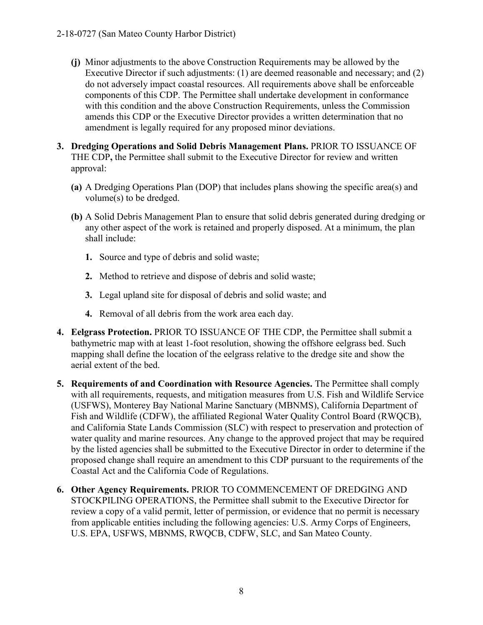- **(j)** Minor adjustments to the above Construction Requirements may be allowed by the Executive Director if such adjustments: (1) are deemed reasonable and necessary; and (2) do not adversely impact coastal resources. All requirements above shall be enforceable components of this CDP. The Permittee shall undertake development in conformance with this condition and the above Construction Requirements, unless the Commission amends this CDP or the Executive Director provides a written determination that no amendment is legally required for any proposed minor deviations.
- **3. Dredging Operations and Solid Debris Management Plans.** PRIOR TO ISSUANCE OF THE CDP**,** the Permittee shall submit to the Executive Director for review and written approval:
	- **(a)** A Dredging Operations Plan (DOP) that includes plans showing the specific area(s) and volume(s) to be dredged.
	- **(b)** A Solid Debris Management Plan to ensure that solid debris generated during dredging or any other aspect of the work is retained and properly disposed. At a minimum, the plan shall include:
		- **1.** Source and type of debris and solid waste;
		- **2.** Method to retrieve and dispose of debris and solid waste;
		- **3.** Legal upland site for disposal of debris and solid waste; and
		- **4.** Removal of all debris from the work area each day.
- **4. Eelgrass Protection.** PRIOR TO ISSUANCE OF THE CDP, the Permittee shall submit a bathymetric map with at least 1-foot resolution, showing the offshore eelgrass bed. Such mapping shall define the location of the eelgrass relative to the dredge site and show the aerial extent of the bed.
- **5. Requirements of and Coordination with Resource Agencies.** The Permittee shall comply with all requirements, requests, and mitigation measures from U.S. Fish and Wildlife Service (USFWS), Monterey Bay National Marine Sanctuary (MBNMS), California Department of Fish and Wildlife (CDFW), the affiliated Regional Water Quality Control Board (RWQCB), and California State Lands Commission (SLC) with respect to preservation and protection of water quality and marine resources. Any change to the approved project that may be required by the listed agencies shall be submitted to the Executive Director in order to determine if the proposed change shall require an amendment to this CDP pursuant to the requirements of the Coastal Act and the California Code of Regulations.
- **6. Other Agency Requirements.** PRIOR TO COMMENCEMENT OF DREDGING AND STOCKPILING OPERATIONS, the Permittee shall submit to the Executive Director for review a copy of a valid permit, letter of permission, or evidence that no permit is necessary from applicable entities including the following agencies: U.S. Army Corps of Engineers, U.S. EPA, USFWS, MBNMS, RWQCB, CDFW, SLC, and San Mateo County.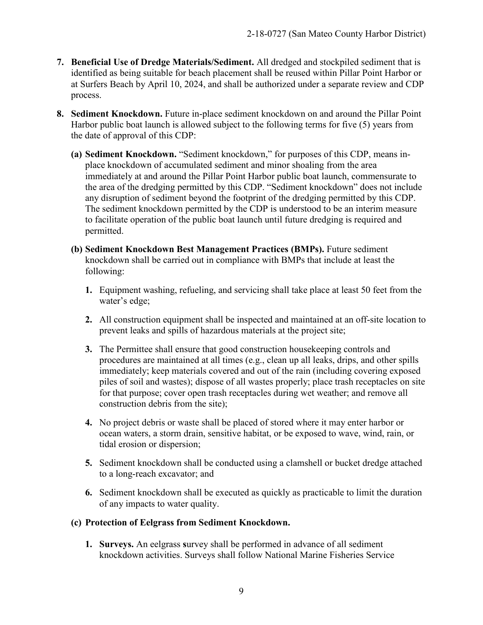- **7. Beneficial Use of Dredge Materials/Sediment.** All dredged and stockpiled sediment that is identified as being suitable for beach placement shall be reused within Pillar Point Harbor or at Surfers Beach by April 10, 2024, and shall be authorized under a separate review and CDP process.
- **8. Sediment Knockdown.** Future in-place sediment knockdown on and around the Pillar Point Harbor public boat launch is allowed subject to the following terms for five (5) years from the date of approval of this CDP:
	- **(a) Sediment Knockdown.** "Sediment knockdown," for purposes of this CDP, means inplace knockdown of accumulated sediment and minor shoaling from the area immediately at and around the Pillar Point Harbor public boat launch, commensurate to the area of the dredging permitted by this CDP. "Sediment knockdown" does not include any disruption of sediment beyond the footprint of the dredging permitted by this CDP. The sediment knockdown permitted by the CDP is understood to be an interim measure to facilitate operation of the public boat launch until future dredging is required and permitted.
	- **(b) Sediment Knockdown Best Management Practices (BMPs).** Future sediment knockdown shall be carried out in compliance with BMPs that include at least the following:
		- **1.** Equipment washing, refueling, and servicing shall take place at least 50 feet from the water's edge;
		- **2.** All construction equipment shall be inspected and maintained at an off-site location to prevent leaks and spills of hazardous materials at the project site;
		- **3.** The Permittee shall ensure that good construction housekeeping controls and procedures are maintained at all times (e.g., clean up all leaks, drips, and other spills immediately; keep materials covered and out of the rain (including covering exposed piles of soil and wastes); dispose of all wastes properly; place trash receptacles on site for that purpose; cover open trash receptacles during wet weather; and remove all construction debris from the site);
		- **4.** No project debris or waste shall be placed of stored where it may enter harbor or ocean waters, a storm drain, sensitive habitat, or be exposed to wave, wind, rain, or tidal erosion or dispersion;
		- **5.** Sediment knockdown shall be conducted using a clamshell or bucket dredge attached to a long-reach excavator; and
		- **6.** Sediment knockdown shall be executed as quickly as practicable to limit the duration of any impacts to water quality.

#### **(c) Protection of Eelgrass from Sediment Knockdown.**

**1. Surveys.** An eelgrass **s**urvey shall be performed in advance of all sediment knockdown activities. Surveys shall follow National Marine Fisheries Service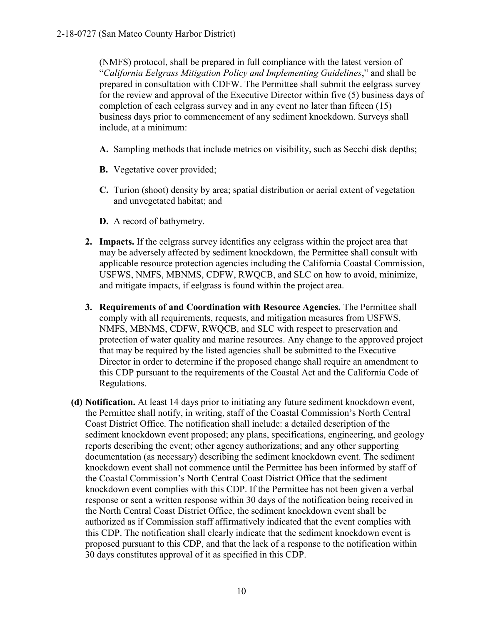(NMFS) protocol, shall be prepared in full compliance with the latest version of "*California Eelgrass Mitigation Policy and Implementing Guidelines*," and shall be prepared in consultation with CDFW. The Permittee shall submit the eelgrass survey for the review and approval of the Executive Director within five (5) business days of completion of each eelgrass survey and in any event no later than fifteen (15) business days prior to commencement of any sediment knockdown. Surveys shall include, at a minimum:

- **A.** Sampling methods that include metrics on visibility, such as Secchi disk depths;
- **B.** Vegetative cover provided;
- **C.** Turion (shoot) density by area; spatial distribution or aerial extent of vegetation and unvegetated habitat; and
- **D.** A record of bathymetry.
- **2. Impacts.** If the eelgrass survey identifies any eelgrass within the project area that may be adversely affected by sediment knockdown, the Permittee shall consult with applicable resource protection agencies including the California Coastal Commission, USFWS, NMFS, MBNMS, CDFW, RWQCB, and SLC on how to avoid, minimize, and mitigate impacts, if eelgrass is found within the project area.
- **3. Requirements of and Coordination with Resource Agencies.** The Permittee shall comply with all requirements, requests, and mitigation measures from USFWS, NMFS, MBNMS, CDFW, RWQCB, and SLC with respect to preservation and protection of water quality and marine resources. Any change to the approved project that may be required by the listed agencies shall be submitted to the Executive Director in order to determine if the proposed change shall require an amendment to this CDP pursuant to the requirements of the Coastal Act and the California Code of Regulations.
- **(d) Notification.** At least 14 days prior to initiating any future sediment knockdown event, the Permittee shall notify, in writing, staff of the Coastal Commission's North Central Coast District Office. The notification shall include: a detailed description of the sediment knockdown event proposed; any plans, specifications, engineering, and geology reports describing the event; other agency authorizations; and any other supporting documentation (as necessary) describing the sediment knockdown event. The sediment knockdown event shall not commence until the Permittee has been informed by staff of the Coastal Commission's North Central Coast District Office that the sediment knockdown event complies with this CDP. If the Permittee has not been given a verbal response or sent a written response within 30 days of the notification being received in the North Central Coast District Office, the sediment knockdown event shall be authorized as if Commission staff affirmatively indicated that the event complies with this CDP. The notification shall clearly indicate that the sediment knockdown event is proposed pursuant to this CDP, and that the lack of a response to the notification within 30 days constitutes approval of it as specified in this CDP.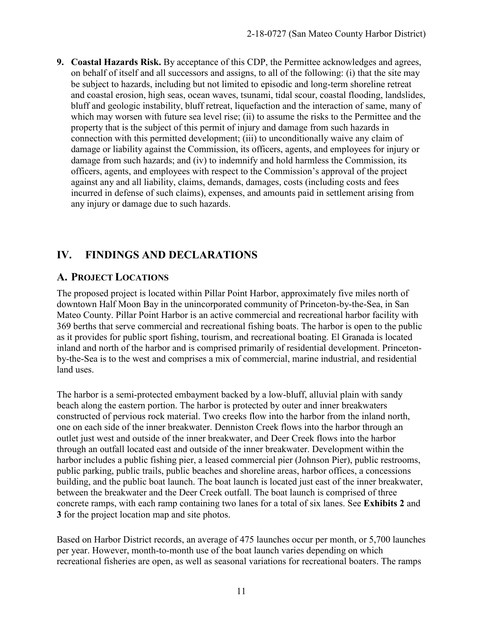**9. Coastal Hazards Risk.** By acceptance of this CDP, the Permittee acknowledges and agrees, on behalf of itself and all successors and assigns, to all of the following: (i) that the site may be subject to hazards, including but not limited to episodic and long-term shoreline retreat and coastal erosion, high seas, ocean waves, tsunami, tidal scour, coastal flooding, landslides, bluff and geologic instability, bluff retreat, liquefaction and the interaction of same, many of which may worsen with future sea level rise; (ii) to assume the risks to the Permittee and the property that is the subject of this permit of injury and damage from such hazards in connection with this permitted development; (iii) to unconditionally waive any claim of damage or liability against the Commission, its officers, agents, and employees for injury or damage from such hazards; and (iv) to indemnify and hold harmless the Commission, its officers, agents, and employees with respect to the Commission's approval of the project against any and all liability, claims, demands, damages, costs (including costs and fees incurred in defense of such claims), expenses, and amounts paid in settlement arising from any injury or damage due to such hazards.

### **IV. FINDINGS AND DECLARATIONS**

### **A. PROJECT LOCATIONS**

The proposed project is located within Pillar Point Harbor, approximately five miles north of downtown Half Moon Bay in the unincorporated community of Princeton-by-the-Sea, in San Mateo County. Pillar Point Harbor is an active commercial and recreational harbor facility with 369 berths that serve commercial and recreational fishing boats. The harbor is open to the public as it provides for public sport fishing, tourism, and recreational boating. El Granada is located inland and north of the harbor and is comprised primarily of residential development. Princetonby-the-Sea is to the west and comprises a mix of commercial, marine industrial, and residential land uses.

The harbor is a semi-protected embayment backed by a low-bluff, alluvial plain with sandy beach along the eastern portion. The harbor is protected by outer and inner breakwaters constructed of pervious rock material. Two creeks flow into the harbor from the inland north, one on each side of the inner breakwater. Denniston Creek flows into the harbor through an outlet just west and outside of the inner breakwater, and Deer Creek flows into the harbor through an outfall located east and outside of the inner breakwater. Development within the harbor includes a public fishing pier, a leased commercial pier (Johnson Pier), public restrooms, public parking, public trails, public beaches and shoreline areas, harbor offices, a concessions building, and the public boat launch. The boat launch is located just east of the inner breakwater, between the breakwater and the Deer Creek outfall. The boat launch is comprised of three concrete ramps, with each ramp containing two lanes for a total of six lanes. See **Exhibits 2** and **3** for the project location map and site photos.

Based on Harbor District records, an average of 475 launches occur per month, or 5,700 launches per year. However, month-to-month use of the boat launch varies depending on which recreational fisheries are open, as well as seasonal variations for recreational boaters. The ramps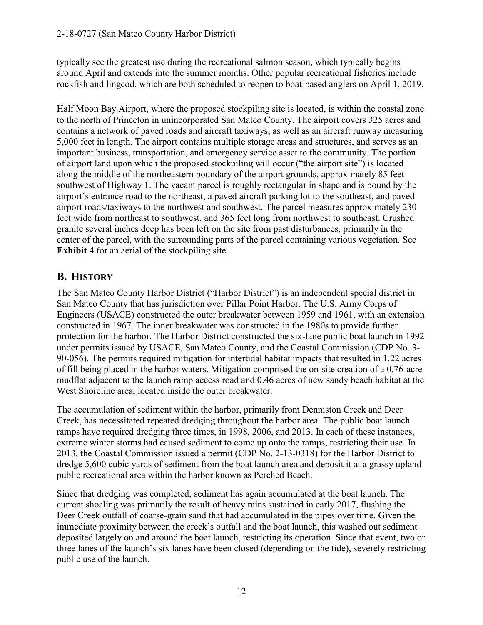typically see the greatest use during the recreational salmon season, which typically begins around April and extends into the summer months. Other popular recreational fisheries include rockfish and lingcod, which are both scheduled to reopen to boat-based anglers on April 1, 2019.

Half Moon Bay Airport, where the proposed stockpiling site is located, is within the coastal zone to the north of Princeton in unincorporated San Mateo County. The airport covers 325 acres and contains a network of paved roads and aircraft taxiways, as well as an aircraft runway measuring 5,000 feet in length. The airport contains multiple storage areas and structures, and serves as an important business, transportation, and emergency service asset to the community. The portion of airport land upon which the proposed stockpiling will occur ("the airport site") is located along the middle of the northeastern boundary of the airport grounds, approximately 85 feet southwest of Highway 1. The vacant parcel is roughly rectangular in shape and is bound by the airport's entrance road to the northeast, a paved aircraft parking lot to the southeast, and paved airport roads/taxiways to the northwest and southwest. The parcel measures approximately 230 feet wide from northeast to southwest, and 365 feet long from northwest to southeast. Crushed granite several inches deep has been left on the site from past disturbances, primarily in the center of the parcel, with the surrounding parts of the parcel containing various vegetation. See **Exhibit 4** for an aerial of the stockpiling site.

### **B. HISTORY**

The San Mateo County Harbor District ("Harbor District") is an independent special district in San Mateo County that has jurisdiction over Pillar Point Harbor. The U.S. Army Corps of Engineers (USACE) constructed the outer breakwater between 1959 and 1961, with an extension constructed in 1967. The inner breakwater was constructed in the 1980s to provide further protection for the harbor. The Harbor District constructed the six-lane public boat launch in 1992 under permits issued by USACE, San Mateo County, and the Coastal Commission (CDP No. 3- 90-056). The permits required mitigation for intertidal habitat impacts that resulted in 1.22 acres of fill being placed in the harbor waters. Mitigation comprised the on-site creation of a 0.76-acre mudflat adjacent to the launch ramp access road and 0.46 acres of new sandy beach habitat at the West Shoreline area, located inside the outer breakwater.

The accumulation of sediment within the harbor, primarily from Denniston Creek and Deer Creek, has necessitated repeated dredging throughout the harbor area. The public boat launch ramps have required dredging three times, in 1998, 2006, and 2013. In each of these instances, extreme winter storms had caused sediment to come up onto the ramps, restricting their use. In 2013, the Coastal Commission issued a permit (CDP No. 2-13-0318) for the Harbor District to dredge 5,600 cubic yards of sediment from the boat launch area and deposit it at a grassy upland public recreational area within the harbor known as Perched Beach.

Since that dredging was completed, sediment has again accumulated at the boat launch. The current shoaling was primarily the result of heavy rains sustained in early 2017, flushing the Deer Creek outfall of coarse-grain sand that had accumulated in the pipes over time. Given the immediate proximity between the creek's outfall and the boat launch, this washed out sediment deposited largely on and around the boat launch, restricting its operation. Since that event, two or three lanes of the launch's six lanes have been closed (depending on the tide), severely restricting public use of the launch.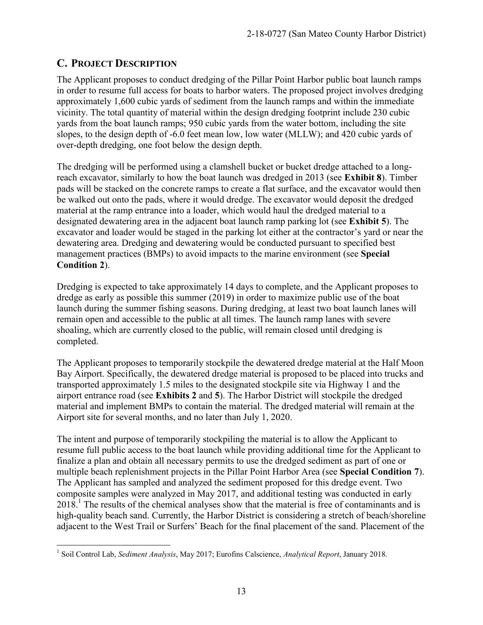### **C. PROJECT DESCRIPTION**

The Applicant proposes to conduct dredging of the Pillar Point Harbor public boat launch ramps in order to resume full access for boats to harbor waters. The proposed project involves dredging approximately 1,600 cubic yards of sediment from the launch ramps and within the immediate vicinity. The total quantity of material within the design dredging footprint include 230 cubic yards from the boat launch ramps; 950 cubic yards from the water bottom, including the site slopes, to the design depth of -6.0 feet mean low, low water (MLLW); and 420 cubic yards of over-depth dredging, one foot below the design depth.

The dredging will be performed using a clamshell bucket or bucket dredge attached to a longreach excavator, similarly to how the boat launch was dredged in 2013 (see **Exhibit 8**). Timber pads will be stacked on the concrete ramps to create a flat surface, and the excavator would then be walked out onto the pads, where it would dredge. The excavator would deposit the dredged material at the ramp entrance into a loader, which would haul the dredged material to a designated dewatering area in the adjacent boat launch ramp parking lot (see **Exhibit 5**). The excavator and loader would be staged in the parking lot either at the contractor's yard or near the dewatering area. Dredging and dewatering would be conducted pursuant to specified best management practices (BMPs) to avoid impacts to the marine environment (see **Special Condition 2**).

Dredging is expected to take approximately 14 days to complete, and the Applicant proposes to dredge as early as possible this summer (2019) in order to maximize public use of the boat launch during the summer fishing seasons. During dredging, at least two boat launch lanes will remain open and accessible to the public at all times. The launch ramp lanes with severe shoaling, which are currently closed to the public, will remain closed until dredging is completed.

The Applicant proposes to temporarily stockpile the dewatered dredge material at the Half Moon Bay Airport. Specifically, the dewatered dredge material is proposed to be placed into trucks and transported approximately 1.5 miles to the designated stockpile site via Highway 1 and the airport entrance road (see **Exhibits 2** and **5**). The Harbor District will stockpile the dredged material and implement BMPs to contain the material. The dredged material will remain at the Airport site for several months, and no later than July 1, 2020.

The intent and purpose of temporarily stockpiling the material is to allow the Applicant to resume full public access to the boat launch while providing additional time for the Applicant to finalize a plan and obtain all necessary permits to use the dredged sediment as part of one or multiple beach replenishment projects in the Pillar Point Harbor Area (see **Special Condition 7**). The Applicant has sampled and analyzed the sediment proposed for this dredge event. Two composite samples were analyzed in May 2017, and additional testing was conducted in early  $2018$ .<sup>1</sup> The results of the chemical analyses show that the material is free of contaminants and is high-quality beach sand. Currently, the Harbor District is considering a stretch of beach/shoreline adjacent to the West Trail or Surfers' Beach for the final placement of the sand. Placement of the

 1 Soil Control Lab, *Sediment Analysis*, May 2017; Eurofins Calscience, *Analytical Report*, January 2018.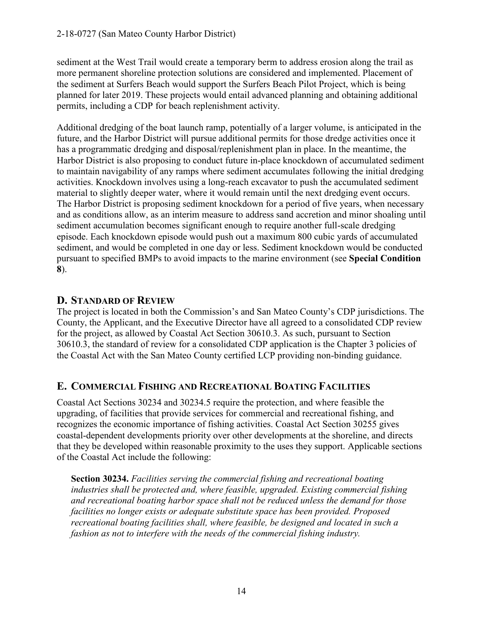sediment at the West Trail would create a temporary berm to address erosion along the trail as more permanent shoreline protection solutions are considered and implemented. Placement of the sediment at Surfers Beach would support the Surfers Beach Pilot Project, which is being planned for later 2019. These projects would entail advanced planning and obtaining additional permits, including a CDP for beach replenishment activity.

Additional dredging of the boat launch ramp, potentially of a larger volume, is anticipated in the future, and the Harbor District will pursue additional permits for those dredge activities once it has a programmatic dredging and disposal/replenishment plan in place. In the meantime, the Harbor District is also proposing to conduct future in-place knockdown of accumulated sediment to maintain navigability of any ramps where sediment accumulates following the initial dredging activities. Knockdown involves using a long-reach excavator to push the accumulated sediment material to slightly deeper water, where it would remain until the next dredging event occurs. The Harbor District is proposing sediment knockdown for a period of five years, when necessary and as conditions allow, as an interim measure to address sand accretion and minor shoaling until sediment accumulation becomes significant enough to require another full-scale dredging episode. Each knockdown episode would push out a maximum 800 cubic yards of accumulated sediment, and would be completed in one day or less. Sediment knockdown would be conducted pursuant to specified BMPs to avoid impacts to the marine environment (see **Special Condition 8**).

### **D. STANDARD OF REVIEW**

The project is located in both the Commission's and San Mateo County's CDP jurisdictions. The County, the Applicant, and the Executive Director have all agreed to a consolidated CDP review for the project, as allowed by Coastal Act Section 30610.3. As such, pursuant to Section 30610.3, the standard of review for a consolidated CDP application is the Chapter 3 policies of the Coastal Act with the San Mateo County certified LCP providing non-binding guidance.

### **E. COMMERCIAL FISHING AND RECREATIONAL BOATING FACILITIES**

Coastal Act Sections 30234 and 30234.5 require the protection, and where feasible the upgrading, of facilities that provide services for commercial and recreational fishing, and recognizes the economic importance of fishing activities. Coastal Act Section 30255 gives coastal-dependent developments priority over other developments at the shoreline, and directs that they be developed within reasonable proximity to the uses they support. Applicable sections of the Coastal Act include the following:

**Section 30234.** *Facilities serving the commercial fishing and recreational boating industries shall be protected and, where feasible, upgraded. Existing commercial fishing and recreational boating harbor space shall not be reduced unless the demand for those facilities no longer exists or adequate substitute space has been provided. Proposed recreational boating facilities shall, where feasible, be designed and located in such a fashion as not to interfere with the needs of the commercial fishing industry.*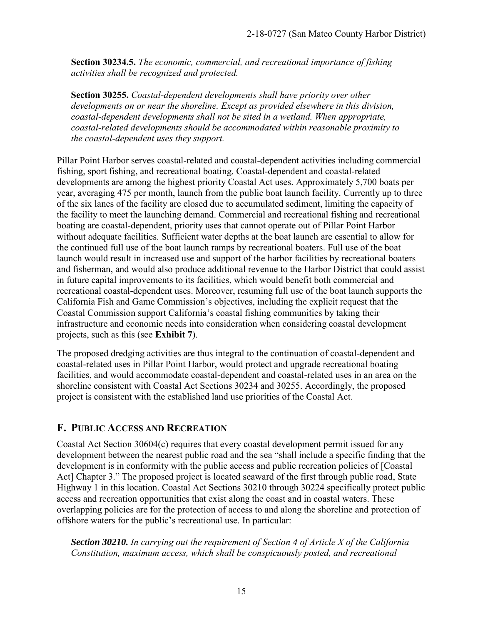**Section 30234.5.** *The economic, commercial, and recreational importance of fishing activities shall be recognized and protected.* 

**Section 30255.** *Coastal-dependent developments shall have priority over other developments on or near the shoreline. Except as provided elsewhere in this division, coastal-dependent developments shall not be sited in a wetland. When appropriate, coastal-related developments should be accommodated within reasonable proximity to the coastal-dependent uses they support.* 

Pillar Point Harbor serves coastal-related and coastal-dependent activities including commercial fishing, sport fishing, and recreational boating. Coastal-dependent and coastal-related developments are among the highest priority Coastal Act uses. Approximately 5,700 boats per year, averaging 475 per month, launch from the public boat launch facility. Currently up to three of the six lanes of the facility are closed due to accumulated sediment, limiting the capacity of the facility to meet the launching demand. Commercial and recreational fishing and recreational boating are coastal-dependent, priority uses that cannot operate out of Pillar Point Harbor without adequate facilities. Sufficient water depths at the boat launch are essential to allow for the continued full use of the boat launch ramps by recreational boaters. Full use of the boat launch would result in increased use and support of the harbor facilities by recreational boaters and fisherman, and would also produce additional revenue to the Harbor District that could assist in future capital improvements to its facilities, which would benefit both commercial and recreational coastal-dependent uses. Moreover, resuming full use of the boat launch supports the California Fish and Game Commission's objectives, including the explicit request that the Coastal Commission support California's coastal fishing communities by taking their infrastructure and economic needs into consideration when considering coastal development projects, such as this (see **Exhibit 7**).

The proposed dredging activities are thus integral to the continuation of coastal-dependent and coastal-related uses in Pillar Point Harbor, would protect and upgrade recreational boating facilities, and would accommodate coastal-dependent and coastal-related uses in an area on the shoreline consistent with Coastal Act Sections 30234 and 30255. Accordingly, the proposed project is consistent with the established land use priorities of the Coastal Act.

### **F. PUBLIC ACCESS AND RECREATION**

Coastal Act Section 30604(c) requires that every coastal development permit issued for any development between the nearest public road and the sea "shall include a specific finding that the development is in conformity with the public access and public recreation policies of [Coastal Act] Chapter 3." The proposed project is located seaward of the first through public road, State Highway 1 in this location. Coastal Act Sections 30210 through 30224 specifically protect public access and recreation opportunities that exist along the coast and in coastal waters. These overlapping policies are for the protection of access to and along the shoreline and protection of offshore waters for the public's recreational use. In particular:

*Section 30210. In carrying out the requirement of Section 4 of Article X of the California Constitution, maximum access, which shall be conspicuously posted, and recreational*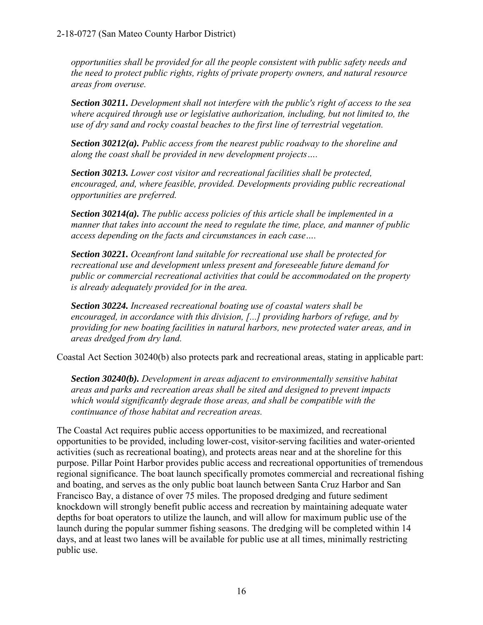*opportunities shall be provided for all the people consistent with public safety needs and the need to protect public rights, rights of private property owners, and natural resource areas from overuse.* 

*Section 30211. Development shall not interfere with the public's right of access to the sea where acquired through use or legislative authorization, including, but not limited to, the use of dry sand and rocky coastal beaches to the first line of terrestrial vegetation.* 

*Section 30212(a). Public access from the nearest public roadway to the shoreline and along the coast shall be provided in new development projects….* 

*Section 30213. Lower cost visitor and recreational facilities shall be protected, encouraged, and, where feasible, provided. Developments providing public recreational opportunities are preferred.* 

*Section 30214(a). The public access policies of this article shall be implemented in a manner that takes into account the need to regulate the time, place, and manner of public access depending on the facts and circumstances in each case….* 

*Section 30221. Oceanfront land suitable for recreational use shall be protected for recreational use and development unless present and foreseeable future demand for public or commercial recreational activities that could be accommodated on the property is already adequately provided for in the area.* 

*Section 30224. Increased recreational boating use of coastal waters shall be encouraged, in accordance with this division, [...] providing harbors of refuge, and by providing for new boating facilities in natural harbors, new protected water areas, and in areas dredged from dry land.* 

Coastal Act Section 30240(b) also protects park and recreational areas, stating in applicable part:

*Section 30240(b). Development in areas adjacent to environmentally sensitive habitat areas and parks and recreation areas shall be sited and designed to prevent impacts which would significantly degrade those areas, and shall be compatible with the continuance of those habitat and recreation areas.* 

The Coastal Act requires public access opportunities to be maximized, and recreational opportunities to be provided, including lower-cost, visitor-serving facilities and water-oriented activities (such as recreational boating), and protects areas near and at the shoreline for this purpose. Pillar Point Harbor provides public access and recreational opportunities of tremendous regional significance. The boat launch specifically promotes commercial and recreational fishing and boating, and serves as the only public boat launch between Santa Cruz Harbor and San Francisco Bay, a distance of over 75 miles. The proposed dredging and future sediment knockdown will strongly benefit public access and recreation by maintaining adequate water depths for boat operators to utilize the launch, and will allow for maximum public use of the launch during the popular summer fishing seasons. The dredging will be completed within 14 days, and at least two lanes will be available for public use at all times, minimally restricting public use.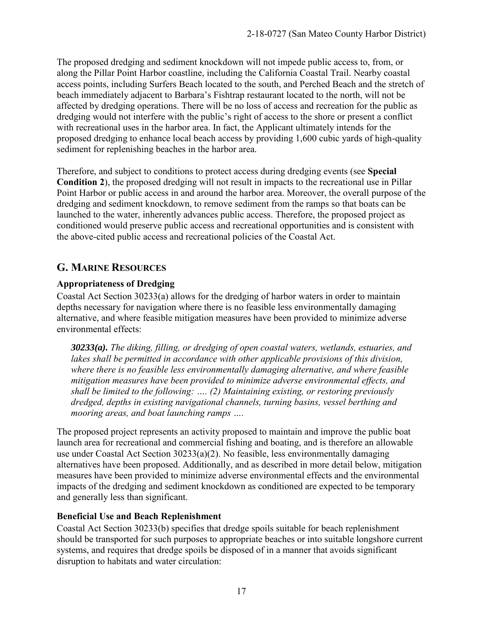The proposed dredging and sediment knockdown will not impede public access to, from, or along the Pillar Point Harbor coastline, including the California Coastal Trail. Nearby coastal access points, including Surfers Beach located to the south, and Perched Beach and the stretch of beach immediately adjacent to Barbara's Fishtrap restaurant located to the north, will not be affected by dredging operations. There will be no loss of access and recreation for the public as dredging would not interfere with the public's right of access to the shore or present a conflict with recreational uses in the harbor area. In fact, the Applicant ultimately intends for the proposed dredging to enhance local beach access by providing 1,600 cubic yards of high-quality sediment for replenishing beaches in the harbor area.

Therefore, and subject to conditions to protect access during dredging events (see **Special Condition 2**), the proposed dredging will not result in impacts to the recreational use in Pillar Point Harbor or public access in and around the harbor area. Moreover, the overall purpose of the dredging and sediment knockdown, to remove sediment from the ramps so that boats can be launched to the water, inherently advances public access. Therefore, the proposed project as conditioned would preserve public access and recreational opportunities and is consistent with the above-cited public access and recreational policies of the Coastal Act.

### **G. MARINE RESOURCES**

#### **Appropriateness of Dredging**

Coastal Act Section 30233(a) allows for the dredging of harbor waters in order to maintain depths necessary for navigation where there is no feasible less environmentally damaging alternative, and where feasible mitigation measures have been provided to minimize adverse environmental effects:

*30233(a). The diking, filling, or dredging of open coastal waters, wetlands, estuaries, and*  lakes shall be permitted in accordance with other applicable provisions of this division, *where there is no feasible less environmentally damaging alternative, and where feasible mitigation measures have been provided to minimize adverse environmental effects, and shall be limited to the following: …. (2) Maintaining existing, or restoring previously dredged, depths in existing navigational channels, turning basins, vessel berthing and mooring areas, and boat launching ramps ….*

The proposed project represents an activity proposed to maintain and improve the public boat launch area for recreational and commercial fishing and boating, and is therefore an allowable use under Coastal Act Section 30233(a)(2). No feasible, less environmentally damaging alternatives have been proposed. Additionally, and as described in more detail below, mitigation measures have been provided to minimize adverse environmental effects and the environmental impacts of the dredging and sediment knockdown as conditioned are expected to be temporary and generally less than significant.

#### **Beneficial Use and Beach Replenishment**

Coastal Act Section 30233(b) specifies that dredge spoils suitable for beach replenishment should be transported for such purposes to appropriate beaches or into suitable longshore current systems, and requires that dredge spoils be disposed of in a manner that avoids significant disruption to habitats and water circulation: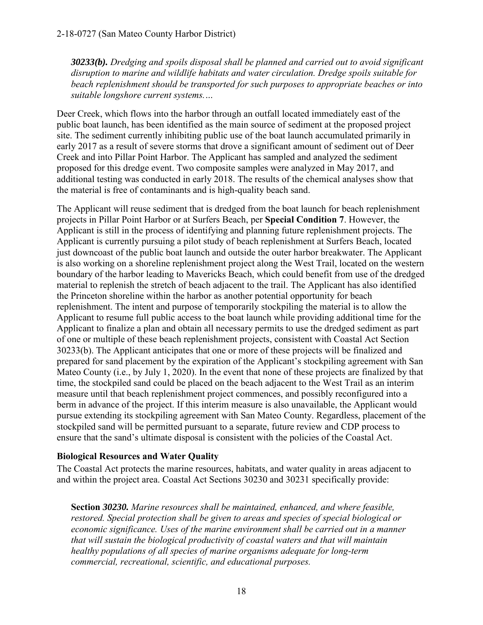*30233(b). Dredging and spoils disposal shall be planned and carried out to avoid significant disruption to marine and wildlife habitats and water circulation. Dredge spoils suitable for beach replenishment should be transported for such purposes to appropriate beaches or into suitable longshore current systems.…*

Deer Creek, which flows into the harbor through an outfall located immediately east of the public boat launch, has been identified as the main source of sediment at the proposed project site. The sediment currently inhibiting public use of the boat launch accumulated primarily in early 2017 as a result of severe storms that drove a significant amount of sediment out of Deer Creek and into Pillar Point Harbor. The Applicant has sampled and analyzed the sediment proposed for this dredge event. Two composite samples were analyzed in May 2017, and additional testing was conducted in early 2018. The results of the chemical analyses show that the material is free of contaminants and is high-quality beach sand.

The Applicant will reuse sediment that is dredged from the boat launch for beach replenishment projects in Pillar Point Harbor or at Surfers Beach, per **Special Condition 7**. However, the Applicant is still in the process of identifying and planning future replenishment projects. The Applicant is currently pursuing a pilot study of beach replenishment at Surfers Beach, located just downcoast of the public boat launch and outside the outer harbor breakwater. The Applicant is also working on a shoreline replenishment project along the West Trail, located on the western boundary of the harbor leading to Mavericks Beach, which could benefit from use of the dredged material to replenish the stretch of beach adjacent to the trail. The Applicant has also identified the Princeton shoreline within the harbor as another potential opportunity for beach replenishment. The intent and purpose of temporarily stockpiling the material is to allow the Applicant to resume full public access to the boat launch while providing additional time for the Applicant to finalize a plan and obtain all necessary permits to use the dredged sediment as part of one or multiple of these beach replenishment projects, consistent with Coastal Act Section 30233(b). The Applicant anticipates that one or more of these projects will be finalized and prepared for sand placement by the expiration of the Applicant's stockpiling agreement with San Mateo County (i.e., by July 1, 2020). In the event that none of these projects are finalized by that time, the stockpiled sand could be placed on the beach adjacent to the West Trail as an interim measure until that beach replenishment project commences, and possibly reconfigured into a berm in advance of the project. If this interim measure is also unavailable, the Applicant would pursue extending its stockpiling agreement with San Mateo County. Regardless, placement of the stockpiled sand will be permitted pursuant to a separate, future review and CDP process to ensure that the sand's ultimate disposal is consistent with the policies of the Coastal Act.

#### **Biological Resources and Water Quality**

The Coastal Act protects the marine resources, habitats, and water quality in areas adjacent to and within the project area. Coastal Act Sections 30230 and 30231 specifically provide:

**Section** *30230. Marine resources shall be maintained, enhanced, and where feasible, restored. Special protection shall be given to areas and species of special biological or economic significance. Uses of the marine environment shall be carried out in a manner that will sustain the biological productivity of coastal waters and that will maintain healthy populations of all species of marine organisms adequate for long-term commercial, recreational, scientific, and educational purposes.*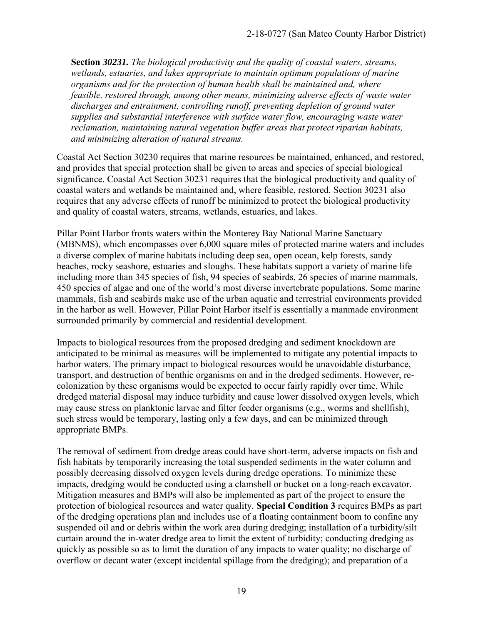**Section** *30231. The biological productivity and the quality of coastal waters, streams, wetlands, estuaries, and lakes appropriate to maintain optimum populations of marine organisms and for the protection of human health shall be maintained and, where feasible, restored through, among other means, minimizing adverse effects of waste water discharges and entrainment, controlling runoff, preventing depletion of ground water supplies and substantial interference with surface water flow, encouraging waste water reclamation, maintaining natural vegetation buffer areas that protect riparian habitats, and minimizing alteration of natural streams.* 

Coastal Act Section 30230 requires that marine resources be maintained, enhanced, and restored, and provides that special protection shall be given to areas and species of special biological significance. Coastal Act Section 30231 requires that the biological productivity and quality of coastal waters and wetlands be maintained and, where feasible, restored. Section 30231 also requires that any adverse effects of runoff be minimized to protect the biological productivity and quality of coastal waters, streams, wetlands, estuaries, and lakes.

Pillar Point Harbor fronts waters within the Monterey Bay National Marine Sanctuary (MBNMS), which encompasses over 6,000 square miles of protected marine waters and includes a diverse complex of marine habitats including deep sea, open ocean, kelp forests, sandy beaches, rocky seashore, estuaries and sloughs. These habitats support a variety of marine life including more than 345 species of fish, 94 species of seabirds, 26 species of marine mammals, 450 species of algae and one of the world's most diverse invertebrate populations. Some marine mammals, fish and seabirds make use of the urban aquatic and terrestrial environments provided in the harbor as well. However, Pillar Point Harbor itself is essentially a manmade environment surrounded primarily by commercial and residential development.

Impacts to biological resources from the proposed dredging and sediment knockdown are anticipated to be minimal as measures will be implemented to mitigate any potential impacts to harbor waters. The primary impact to biological resources would be unavoidable disturbance, transport, and destruction of benthic organisms on and in the dredged sediments. However, recolonization by these organisms would be expected to occur fairly rapidly over time. While dredged material disposal may induce turbidity and cause lower dissolved oxygen levels, which may cause stress on planktonic larvae and filter feeder organisms (e.g., worms and shellfish), such stress would be temporary, lasting only a few days, and can be minimized through appropriate BMPs.

The removal of sediment from dredge areas could have short-term, adverse impacts on fish and fish habitats by temporarily increasing the total suspended sediments in the water column and possibly decreasing dissolved oxygen levels during dredge operations. To minimize these impacts, dredging would be conducted using a clamshell or bucket on a long-reach excavator. Mitigation measures and BMPs will also be implemented as part of the project to ensure the protection of biological resources and water quality. **Special Condition 3** requires BMPs as part of the dredging operations plan and includes use of a floating containment boom to confine any suspended oil and or debris within the work area during dredging; installation of a turbidity/silt curtain around the in-water dredge area to limit the extent of turbidity; conducting dredging as quickly as possible so as to limit the duration of any impacts to water quality; no discharge of overflow or decant water (except incidental spillage from the dredging); and preparation of a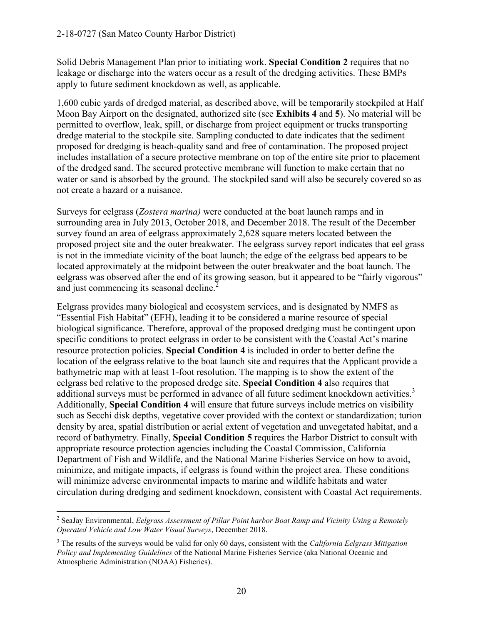Solid Debris Management Plan prior to initiating work. **Special Condition 2** requires that no leakage or discharge into the waters occur as a result of the dredging activities. These BMPs apply to future sediment knockdown as well, as applicable.

1,600 cubic yards of dredged material, as described above, will be temporarily stockpiled at Half Moon Bay Airport on the designated, authorized site (see **Exhibits 4** and **5**). No material will be permitted to overflow, leak, spill, or discharge from project equipment or trucks transporting dredge material to the stockpile site. Sampling conducted to date indicates that the sediment proposed for dredging is beach-quality sand and free of contamination. The proposed project includes installation of a secure protective membrane on top of the entire site prior to placement of the dredged sand. The secured protective membrane will function to make certain that no water or sand is absorbed by the ground. The stockpiled sand will also be securely covered so as not create a hazard or a nuisance.

Surveys for eelgrass (*Zostera marina)* were conducted at the boat launch ramps and in surrounding area in July 2013, October 2018, and December 2018. The result of the December survey found an area of eelgrass approximately 2,628 square meters located between the proposed project site and the outer breakwater. The eelgrass survey report indicates that eel grass is not in the immediate vicinity of the boat launch; the edge of the eelgrass bed appears to be located approximately at the midpoint between the outer breakwater and the boat launch. The eelgrass was observed after the end of its growing season, but it appeared to be "fairly vigorous" and just commencing its seasonal decline.<sup>2</sup>

Eelgrass provides many biological and ecosystem services, and is designated by NMFS as "Essential Fish Habitat" (EFH), leading it to be considered a marine resource of special biological significance. Therefore, approval of the proposed dredging must be contingent upon specific conditions to protect eelgrass in order to be consistent with the Coastal Act's marine resource protection policies. **Special Condition 4** is included in order to better define the location of the eelgrass relative to the boat launch site and requires that the Applicant provide a bathymetric map with at least 1-foot resolution. The mapping is to show the extent of the eelgrass bed relative to the proposed dredge site. **Special Condition 4** also requires that additional surveys must be performed in advance of all future sediment knockdown activities.<sup>3</sup> Additionally, **Special Condition 4** will ensure that future surveys include metrics on visibility such as Secchi disk depths, vegetative cover provided with the context or standardization; turion density by area, spatial distribution or aerial extent of vegetation and unvegetated habitat, and a record of bathymetry. Finally, **Special Condition 5** requires the Harbor District to consult with appropriate resource protection agencies including the Coastal Commission, California Department of Fish and Wildlife, and the National Marine Fisheries Service on how to avoid, minimize, and mitigate impacts, if eelgrass is found within the project area. These conditions will minimize adverse environmental impacts to marine and wildlife habitats and water circulation during dredging and sediment knockdown, consistent with Coastal Act requirements.

 $\overline{a}$ 2 SeaJay Environmental, *Eelgrass Assessment of Pillar Point harbor Boat Ramp and Vicinity Using a Remotely Operated Vehicle and Low Water Visual Surveys*, December 2018.

<sup>3</sup> The results of the surveys would be valid for only 60 days, consistent with the *California Eelgrass Mitigation Policy and Implementing Guidelines* of the National Marine Fisheries Service (aka National Oceanic and Atmospheric Administration (NOAA) Fisheries).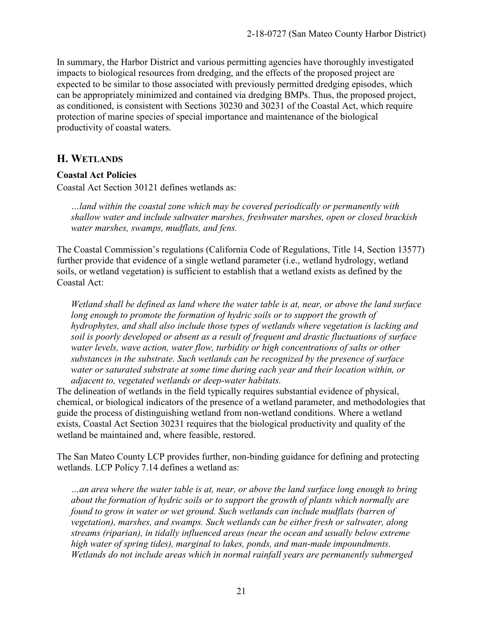In summary, the Harbor District and various permitting agencies have thoroughly investigated impacts to biological resources from dredging, and the effects of the proposed project are expected to be similar to those associated with previously permitted dredging episodes, which can be appropriately minimized and contained via dredging BMPs. Thus, the proposed project, as conditioned, is consistent with Sections 30230 and 30231 of the Coastal Act, which require protection of marine species of special importance and maintenance of the biological productivity of coastal waters.

#### **H. WETLANDS**

#### **Coastal Act Policies**

Coastal Act Section 30121 defines wetlands as:

*…land within the coastal zone which may be covered periodically or permanently with shallow water and include saltwater marshes, freshwater marshes, open or closed brackish water marshes, swamps, mudflats, and fens.*

The Coastal Commission's regulations (California Code of Regulations, Title 14, Section 13577) further provide that evidence of a single wetland parameter (i.e., wetland hydrology, wetland soils, or wetland vegetation) is sufficient to establish that a wetland exists as defined by the Coastal Act:

*Wetland shall be defined as land where the water table is at, near, or above the land surface*  long enough to promote the formation of hydric soils or to support the growth of *hydrophytes, and shall also include those types of wetlands where vegetation is lacking and soil is poorly developed or absent as a result of frequent and drastic fluctuations of surface water levels, wave action, water flow, turbidity or high concentrations of salts or other substances in the substrate. Such wetlands can be recognized by the presence of surface water or saturated substrate at some time during each year and their location within, or adjacent to, vegetated wetlands or deep-water habitats.*

The delineation of wetlands in the field typically requires substantial evidence of physical, chemical, or biological indicators of the presence of a wetland parameter, and methodologies that guide the process of distinguishing wetland from non-wetland conditions. Where a wetland exists, Coastal Act Section 30231 requires that the biological productivity and quality of the wetland be maintained and, where feasible, restored.

The San Mateo County LCP provides further, non-binding guidance for defining and protecting wetlands. LCP Policy 7.14 defines a wetland as:

*…an area where the water table is at, near, or above the land surface long enough to bring about the formation of hydric soils or to support the growth of plants which normally are found to grow in water or wet ground. Such wetlands can include mudflats (barren of vegetation), marshes, and swamps. Such wetlands can be either fresh or saltwater, along streams (riparian), in tidally influenced areas (near the ocean and usually below extreme high water of spring tides), marginal to lakes, ponds, and man-made impoundments. Wetlands do not include areas which in normal rainfall years are permanently submerged*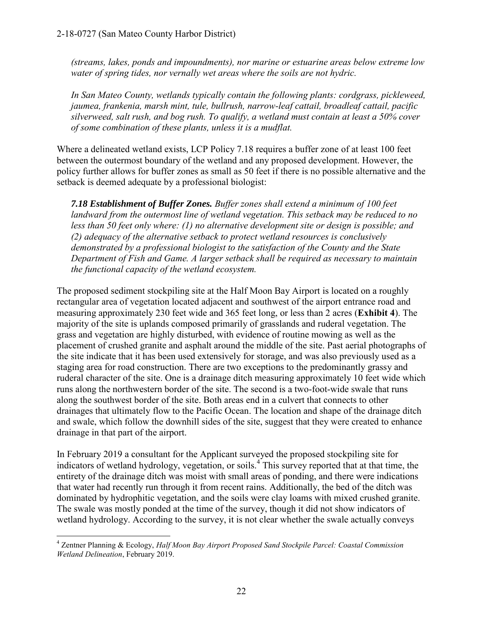*(streams, lakes, ponds and impoundments), nor marine or estuarine areas below extreme low water of spring tides, nor vernally wet areas where the soils are not hydric.* 

*In San Mateo County, wetlands typically contain the following plants: cordgrass, pickleweed, jaumea, frankenia, marsh mint, tule, bullrush, narrow-leaf cattail, broadleaf cattail, pacific silverweed, salt rush, and bog rush. To qualify, a wetland must contain at least a 50% cover of some combination of these plants, unless it is a mudflat.* 

Where a delineated wetland exists, LCP Policy 7.18 requires a buffer zone of at least 100 feet between the outermost boundary of the wetland and any proposed development. However, the policy further allows for buffer zones as small as 50 feet if there is no possible alternative and the setback is deemed adequate by a professional biologist:

*7.18 Establishment of Buffer Zones. Buffer zones shall extend a minimum of 100 feet landward from the outermost line of wetland vegetation. This setback may be reduced to no less than 50 feet only where: (1) no alternative development site or design is possible; and (2) adequacy of the alternative setback to protect wetland resources is conclusively demonstrated by a professional biologist to the satisfaction of the County and the State Department of Fish and Game. A larger setback shall be required as necessary to maintain the functional capacity of the wetland ecosystem.* 

The proposed sediment stockpiling site at the Half Moon Bay Airport is located on a roughly rectangular area of vegetation located adjacent and southwest of the airport entrance road and measuring approximately 230 feet wide and 365 feet long, or less than 2 acres (**Exhibit 4**). The majority of the site is uplands composed primarily of grasslands and ruderal vegetation. The grass and vegetation are highly disturbed, with evidence of routine mowing as well as the placement of crushed granite and asphalt around the middle of the site. Past aerial photographs of the site indicate that it has been used extensively for storage, and was also previously used as a staging area for road construction. There are two exceptions to the predominantly grassy and ruderal character of the site. One is a drainage ditch measuring approximately 10 feet wide which runs along the northwestern border of the site. The second is a two-foot-wide swale that runs along the southwest border of the site. Both areas end in a culvert that connects to other drainages that ultimately flow to the Pacific Ocean. The location and shape of the drainage ditch and swale, which follow the downhill sides of the site, suggest that they were created to enhance drainage in that part of the airport.

In February 2019 a consultant for the Applicant surveyed the proposed stockpiling site for indicators of wetland hydrology, vegetation, or soils.<sup>4</sup> This survey reported that at that time, the entirety of the drainage ditch was moist with small areas of ponding, and there were indications that water had recently run through it from recent rains. Additionally, the bed of the ditch was dominated by hydrophitic vegetation, and the soils were clay loams with mixed crushed granite. The swale was mostly ponded at the time of the survey, though it did not show indicators of wetland hydrology. According to the survey, it is not clear whether the swale actually conveys

 4 Zentner Planning & Ecology, *Half Moon Bay Airport Proposed Sand Stockpile Parcel: Coastal Commission Wetland Delineation*, February 2019.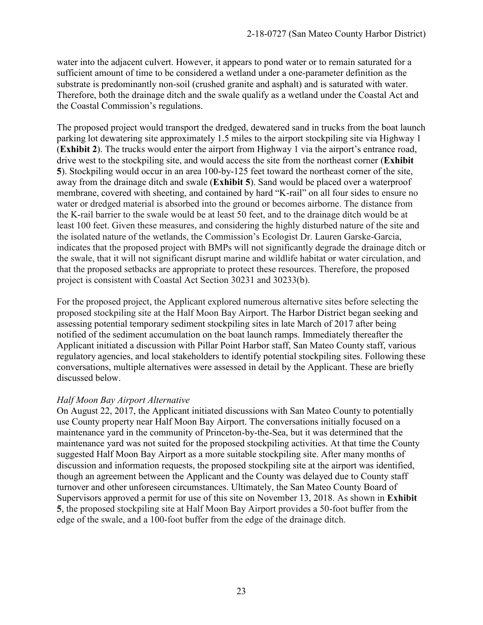water into the adjacent culvert. However, it appears to pond water or to remain saturated for a sufficient amount of time to be considered a wetland under a one-parameter definition as the substrate is predominantly non-soil (crushed granite and asphalt) and is saturated with water. Therefore, both the drainage ditch and the swale qualify as a wetland under the Coastal Act and the Coastal Commission's regulations.

The proposed project would transport the dredged, dewatered sand in trucks from the boat launch parking lot dewatering site approximately 1.5 miles to the airport stockpiling site via Highway 1 (**Exhibit 2**). The trucks would enter the airport from Highway 1 via the airport's entrance road, drive west to the stockpiling site, and would access the site from the northeast corner (**Exhibit 5**). Stockpiling would occur in an area 100-by-125 feet toward the northeast corner of the site, away from the drainage ditch and swale (**Exhibit 5**). Sand would be placed over a waterproof membrane, covered with sheeting, and contained by hard "K-rail" on all four sides to ensure no water or dredged material is absorbed into the ground or becomes airborne. The distance from the K-rail barrier to the swale would be at least 50 feet, and to the drainage ditch would be at least 100 feet. Given these measures, and considering the highly disturbed nature of the site and the isolated nature of the wetlands, the Commission's Ecologist Dr. Lauren Garske-Garcia, indicates that the proposed project with BMPs will not significantly degrade the drainage ditch or the swale, that it will not significant disrupt marine and wildlife habitat or water circulation, and that the proposed setbacks are appropriate to protect these resources. Therefore, the proposed project is consistent with Coastal Act Section 30231 and 30233(b).

For the proposed project, the Applicant explored numerous alternative sites before selecting the proposed stockpiling site at the Half Moon Bay Airport. The Harbor District began seeking and assessing potential temporary sediment stockpiling sites in late March of 2017 after being notified of the sediment accumulation on the boat launch ramps. Immediately thereafter the Applicant initiated a discussion with Pillar Point Harbor staff, San Mateo County staff, various regulatory agencies, and local stakeholders to identify potential stockpiling sites. Following these conversations, multiple alternatives were assessed in detail by the Applicant. These are briefly discussed below.

#### *Half Moon Bay Airport Alternative*

On August 22, 2017, the Applicant initiated discussions with San Mateo County to potentially use County property near Half Moon Bay Airport. The conversations initially focused on a maintenance yard in the community of Princeton-by-the-Sea, but it was determined that the maintenance yard was not suited for the proposed stockpiling activities. At that time the County suggested Half Moon Bay Airport as a more suitable stockpiling site. After many months of discussion and information requests, the proposed stockpiling site at the airport was identified, though an agreement between the Applicant and the County was delayed due to County staff turnover and other unforeseen circumstances. Ultimately, the San Mateo County Board of Supervisors approved a permit for use of this site on November 13, 2018. As shown in **Exhibit 5**, the proposed stockpiling site at Half Moon Bay Airport provides a 50-foot buffer from the edge of the swale, and a 100-foot buffer from the edge of the drainage ditch.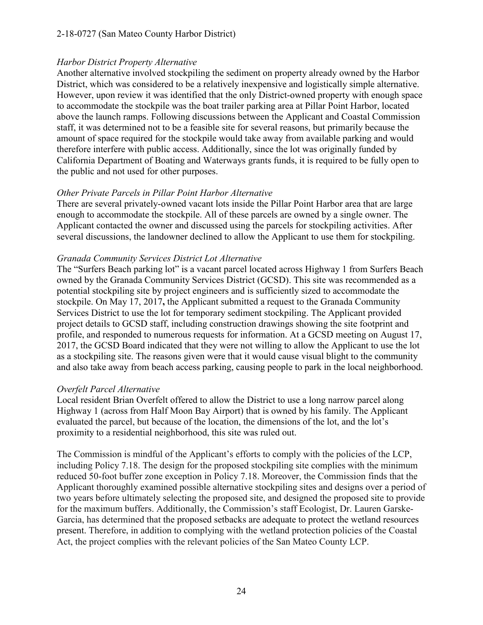#### 2-18-0727 (San Mateo County Harbor District)

#### *Harbor District Property Alternative*

Another alternative involved stockpiling the sediment on property already owned by the Harbor District, which was considered to be a relatively inexpensive and logistically simple alternative. However, upon review it was identified that the only District-owned property with enough space to accommodate the stockpile was the boat trailer parking area at Pillar Point Harbor, located above the launch ramps. Following discussions between the Applicant and Coastal Commission staff, it was determined not to be a feasible site for several reasons, but primarily because the amount of space required for the stockpile would take away from available parking and would therefore interfere with public access. Additionally, since the lot was originally funded by California Department of Boating and Waterways grants funds, it is required to be fully open to the public and not used for other purposes.

#### *Other Private Parcels in Pillar Point Harbor Alternative*

There are several privately-owned vacant lots inside the Pillar Point Harbor area that are large enough to accommodate the stockpile. All of these parcels are owned by a single owner. The Applicant contacted the owner and discussed using the parcels for stockpiling activities. After several discussions, the landowner declined to allow the Applicant to use them for stockpiling.

#### *Granada Community Services District Lot Alternative*

The "Surfers Beach parking lot" is a vacant parcel located across Highway 1 from Surfers Beach owned by the Granada Community Services District (GCSD). This site was recommended as a potential stockpiling site by project engineers and is sufficiently sized to accommodate the stockpile. On May 17, 2017**,** the Applicant submitted a request to the Granada Community Services District to use the lot for temporary sediment stockpiling. The Applicant provided project details to GCSD staff, including construction drawings showing the site footprint and profile, and responded to numerous requests for information. At a GCSD meeting on August 17, 2017, the GCSD Board indicated that they were not willing to allow the Applicant to use the lot as a stockpiling site. The reasons given were that it would cause visual blight to the community and also take away from beach access parking, causing people to park in the local neighborhood.

#### *Overfelt Parcel Alternative*

Local resident Brian Overfelt offered to allow the District to use a long narrow parcel along Highway 1 (across from Half Moon Bay Airport) that is owned by his family. The Applicant evaluated the parcel, but because of the location, the dimensions of the lot, and the lot's proximity to a residential neighborhood, this site was ruled out.

The Commission is mindful of the Applicant's efforts to comply with the policies of the LCP, including Policy 7.18. The design for the proposed stockpiling site complies with the minimum reduced 50-foot buffer zone exception in Policy 7.18. Moreover, the Commission finds that the Applicant thoroughly examined possible alternative stockpiling sites and designs over a period of two years before ultimately selecting the proposed site, and designed the proposed site to provide for the maximum buffers. Additionally, the Commission's staff Ecologist, Dr. Lauren Garske-Garcia, has determined that the proposed setbacks are adequate to protect the wetland resources present. Therefore, in addition to complying with the wetland protection policies of the Coastal Act, the project complies with the relevant policies of the San Mateo County LCP.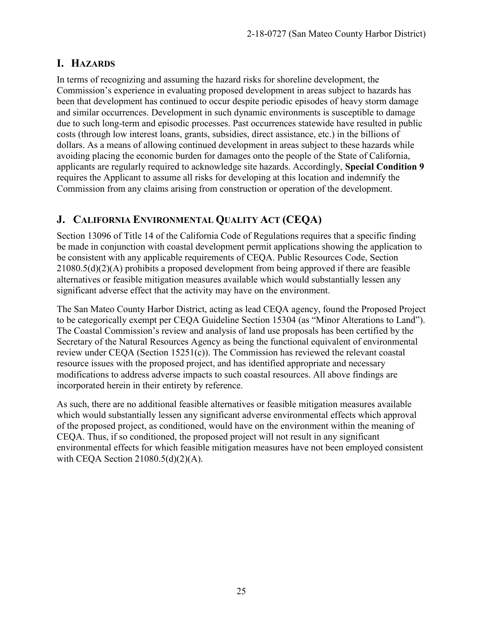### **I. HAZARDS**

In terms of recognizing and assuming the hazard risks for shoreline development, the Commission's experience in evaluating proposed development in areas subject to hazards has been that development has continued to occur despite periodic episodes of heavy storm damage and similar occurrences. Development in such dynamic environments is susceptible to damage due to such long-term and episodic processes. Past occurrences statewide have resulted in public costs (through low interest loans, grants, subsidies, direct assistance, etc.) in the billions of dollars. As a means of allowing continued development in areas subject to these hazards while avoiding placing the economic burden for damages onto the people of the State of California, applicants are regularly required to acknowledge site hazards. Accordingly, **Special Condition 9**  requires the Applicant to assume all risks for developing at this location and indemnify the Commission from any claims arising from construction or operation of the development.

### **J. CALIFORNIA ENVIRONMENTAL QUALITY ACT (CEQA)**

Section 13096 of Title 14 of the California Code of Regulations requires that a specific finding be made in conjunction with coastal development permit applications showing the application to be consistent with any applicable requirements of CEQA. Public Resources Code, Section 21080.5(d)(2)(A) prohibits a proposed development from being approved if there are feasible alternatives or feasible mitigation measures available which would substantially lessen any significant adverse effect that the activity may have on the environment.

The San Mateo County Harbor District, acting as lead CEQA agency, found the Proposed Project to be categorically exempt per CEQA Guideline Section 15304 (as "Minor Alterations to Land"). The Coastal Commission's review and analysis of land use proposals has been certified by the Secretary of the Natural Resources Agency as being the functional equivalent of environmental review under CEQA (Section 15251(c)). The Commission has reviewed the relevant coastal resource issues with the proposed project, and has identified appropriate and necessary modifications to address adverse impacts to such coastal resources. All above findings are incorporated herein in their entirety by reference.

As such, there are no additional feasible alternatives or feasible mitigation measures available which would substantially lessen any significant adverse environmental effects which approval of the proposed project, as conditioned, would have on the environment within the meaning of CEQA. Thus, if so conditioned, the proposed project will not result in any significant environmental effects for which feasible mitigation measures have not been employed consistent with CEQA Section  $21080.5(d)(2)(A)$ .